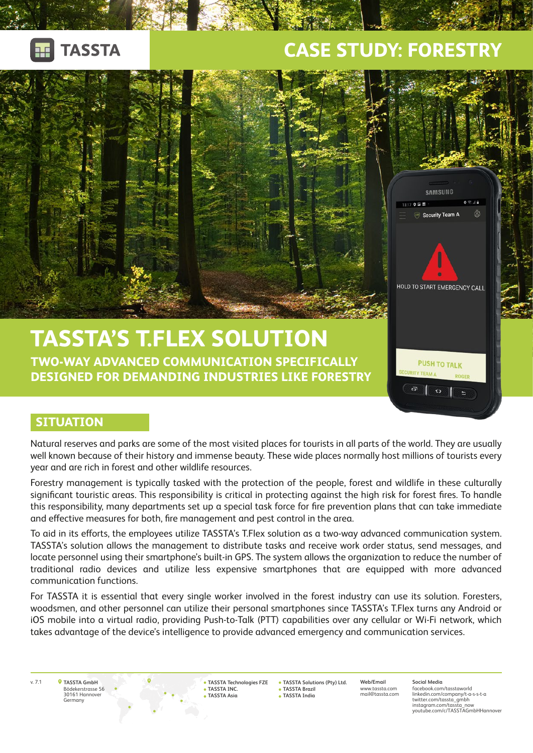

## **CASE STUDY: FORESTRY**



#### **SITUATION**

Natural reserves and parks are some of the most visited places for tourists in all parts of the world. They are usually well known because of their history and immense beauty. These wide places normally host millions of tourists every year and are rich in forest and other wildlife resources.

Forestry management is typically tasked with the protection of the people, forest and wildlife in these culturally significant touristic areas. This responsibility is critical in protecting against the high risk for forest fires. To handle this responsibility, many departments set up a special task force for fire prevention plans that can take immediate and effective measures for both, fire management and pest control in the area.

To aid in its efforts, the employees utilize TASSTA's T.Flex solution as a two-way advanced communication system. TASSTA's solution allows the management to distribute tasks and receive work order status, send messages, and locate personnel using their smartphone's built-in GPS. The system allows the organization to reduce the number of traditional radio devices and utilize less expensive smartphones that are equipped with more advanced communication functions.

For TASSTA it is essential that every single worker involved in the forest industry can use its solution. Foresters, woodsmen, and other personnel can utilize their personal smartphones since TASSTA's T.Flex turns any Android or iOS mobile into a virtual radio, providing Push-to-Talk (PTT) capabilities over any cellular or Wi-Fi network, which takes advantage of the device's intelligence to provide advanced emergency and communication services.

**TASSTA GmbH** Bödekerstrasse 56 30161 Hannover

iermany

v. 7.1 **Web/Email TASSTA Solutions (Pty) Ltd. TASSTA Technologies FZE TASSTA INC. TASSTA Asia**

**TASSTA Brazil TASSTA India**

www.tassta.com mail@tassta.com **Social Media** facebook.com/tasstaworld linkedin.com/company/t-a-s-s-t-a twitter.com/tassta\_gmbh instagram.com/tassta\_now youtube.com/c/TASSTAGmbHHannover